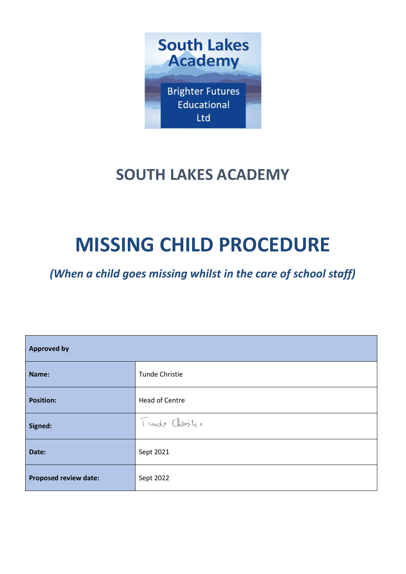

## **SOUTH LAKES ACADEMY**

# **MISSING CHILD PROCEDURE**

*(When a child goes missing whilst in the care of school staff)*

| <b>Approved by</b>           |                       |  |
|------------------------------|-----------------------|--|
| Name:                        | Tunde Christie        |  |
| <b>Position:</b>             | <b>Head of Centre</b> |  |
| Signed:                      | Turste Christic       |  |
| Date:                        | Sept 2021             |  |
| <b>Proposed review date:</b> | Sept 2022             |  |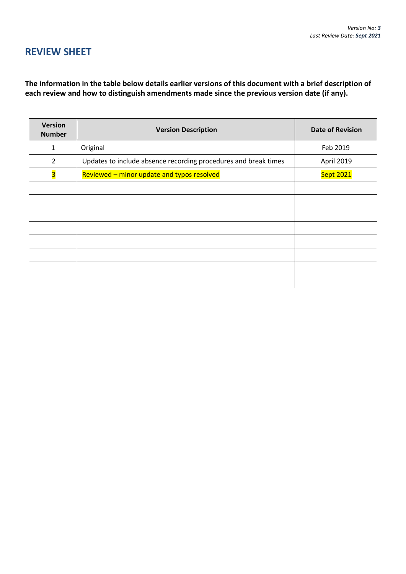## **REVIEW SHEET**

**The information in the table below details earlier versions of this document with a brief description of each review and how to distinguish amendments made since the previous version date (if any).**

| <b>Version</b><br><b>Number</b> | <b>Version Description</b>                                      | <b>Date of Revision</b> |
|---------------------------------|-----------------------------------------------------------------|-------------------------|
| $\mathbf{1}$                    | Original                                                        | Feb 2019                |
| $\overline{2}$                  | Updates to include absence recording procedures and break times | April 2019              |
| $\overline{\mathbf{3}}$         | Reviewed - minor update and typos resolved                      | <b>Sept 2021</b>        |
|                                 |                                                                 |                         |
|                                 |                                                                 |                         |
|                                 |                                                                 |                         |
|                                 |                                                                 |                         |
|                                 |                                                                 |                         |
|                                 |                                                                 |                         |
|                                 |                                                                 |                         |
|                                 |                                                                 |                         |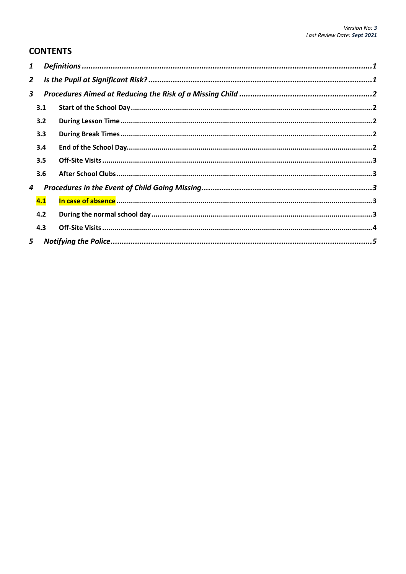### **CONTENTS**

| 1              |     |  |
|----------------|-----|--|
| $\overline{2}$ |     |  |
| 3              |     |  |
|                | 3.1 |  |
|                | 3.2 |  |
|                | 3.3 |  |
|                | 3.4 |  |
|                | 3.5 |  |
|                | 3.6 |  |
| 4              |     |  |
|                | 4.1 |  |
|                | 4.2 |  |
|                | 4.3 |  |
| 5              |     |  |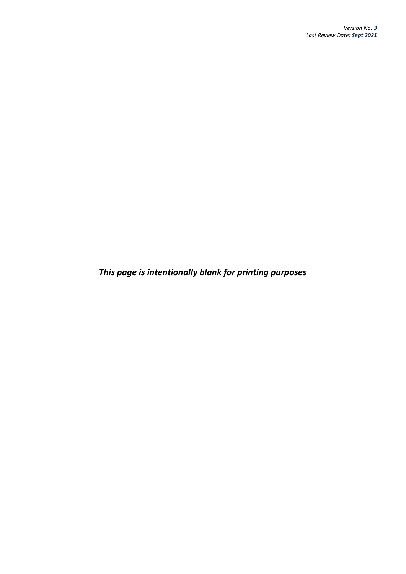*This page is intentionally blank for printing purposes*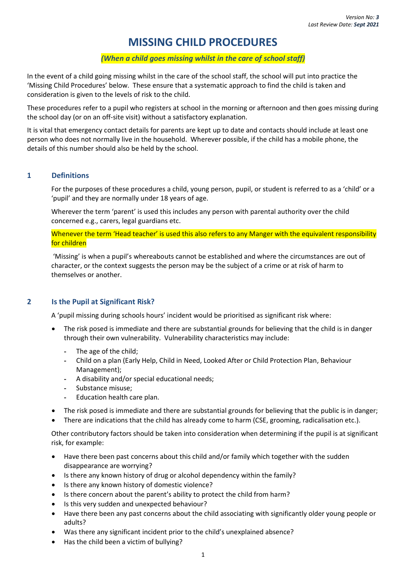## **MISSING CHILD PROCEDURES**

#### *(When a child goes missing whilst in the care of school staff)*

In the event of a child going missing whilst in the care of the school staff, the school will put into practice the 'Missing Child Procedures' below. These ensure that a systematic approach to find the child is taken and consideration is given to the levels of risk to the child.

These procedures refer to a pupil who registers at school in the morning or afternoon and then goes missing during the school day (or on an off-site visit) without a satisfactory explanation.

It is vital that emergency contact details for parents are kept up to date and contacts should include at least one person who does not normally live in the household. Wherever possible, if the child has a mobile phone, the details of this number should also be held by the school.

#### <span id="page-4-0"></span>**1 Definitions**

For the purposes of these procedures a child, young person, pupil, or student is referred to as a 'child' or a 'pupil' and they are normally under 18 years of age.

Wherever the term 'parent' is used this includes any person with parental authority over the child concerned e.g., carers, legal guardians etc.

Whenever the term 'Head teacher' is used this also refers to any Manger with the equivalent responsibility for children

'Missing' is when a pupil's whereabouts cannot be established and where the circumstances are out of character, or the context suggests the person may be the subject of a crime or at risk of harm to themselves or another.

#### <span id="page-4-1"></span>**2 Is the Pupil at Significant Risk?**

A 'pupil missing during schools hours' incident would be prioritised as significant risk where:

- The risk posed is immediate and there are substantial grounds for believing that the child is in danger through their own vulnerability. Vulnerability characteristics may include:
	- The age of the child;
	- Child on a plan (Early Help, Child in Need, Looked After or Child Protection Plan, Behaviour Management);
	- A disability and/or special educational needs;
	- Substance misuse;
	- Education health care plan.
- The risk posed is immediate and there are substantial grounds for believing that the public is in danger;
- There are indications that the child has already come to harm (CSE, grooming, radicalisation etc.).

Other contributory factors should be taken into consideration when determining if the pupil is at significant risk, for example:

- Have there been past concerns about this child and/or family which together with the sudden disappearance are worrying?
- Is there any known history of drug or alcohol dependency within the family?
- Is there any known history of domestic violence?
- Is there concern about the parent's ability to protect the child from harm?
- Is this very sudden and unexpected behaviour?
- Have there been any past concerns about the child associating with significantly older young people or adults?
- Was there any significant incident prior to the child's unexplained absence?
- Has the child been a victim of bullying?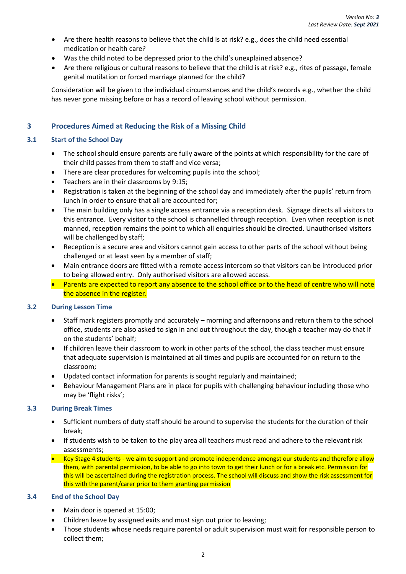- Are there health reasons to believe that the child is at risk? e.g., does the child need essential medication or health care?
- Was the child noted to be depressed prior to the child's unexplained absence?
- Are there religious or cultural reasons to believe that the child is at risk? e.g., rites of passage, female genital mutilation or forced marriage planned for the child?

Consideration will be given to the individual circumstances and the child's records e.g., whether the child has never gone missing before or has a record of leaving school without permission.

#### <span id="page-5-0"></span>**3 Procedures Aimed at Reducing the Risk of a Missing Child**

#### <span id="page-5-1"></span>**3.1 Start of the School Day**

- The school should ensure parents are fully aware of the points at which responsibility for the care of their child passes from them to staff and vice versa;
- There are clear procedures for welcoming pupils into the school;
- Teachers are in their classrooms by 9:15;
- Registration is taken at the beginning of the school day and immediately after the pupils' return from lunch in order to ensure that all are accounted for;
- The main building only has a single access entrance via a reception desk. Signage directs all visitors to this entrance. Every visitor to the school is channelled through reception. Even when reception is not manned, reception remains the point to which all enquiries should be directed. Unauthorised visitors will be challenged by staff;
- Reception is a secure area and visitors cannot gain access to other parts of the school without being challenged or at least seen by a member of staff;
- Main entrance doors are fitted with a remote access intercom so that visitors can be introduced prior to being allowed entry. Only authorised visitors are allowed access.
- Parents are expected to report any absence to the school office or to the head of centre who will note the absence in the register.

#### <span id="page-5-2"></span>**3.2 During Lesson Time**

- Staff mark registers promptly and accurately morning and afternoons and return them to the school office, students are also asked to sign in and out throughout the day, though a teacher may do that if on the students' behalf;
- If children leave their classroom to work in other parts of the school, the class teacher must ensure that adequate supervision is maintained at all times and pupils are accounted for on return to the classroom;
- Updated contact information for parents is sought regularly and maintained;
- Behaviour Management Plans are in place for pupils with challenging behaviour including those who may be 'flight risks';

#### <span id="page-5-3"></span>**3.3 During Break Times**

- Sufficient numbers of duty staff should be around to supervise the students for the duration of their break;
- If students wish to be taken to the play area all teachers must read and adhere to the relevant risk assessments;
- Key Stage 4 students we aim to support and promote independence amongst our students and therefore allow them, with parental permission, to be able to go into town to get their lunch or for a break etc. Permission for this will be ascertained during the registration process. The school will discuss and show the risk assessment for this with the parent/carer prior to them granting permission

#### <span id="page-5-4"></span>**3.4 End of the School Day**

- Main door is opened at 15:00;
- Children leave by assigned exits and must sign out prior to leaving;
- Those students whose needs require parental or adult supervision must wait for responsible person to collect them;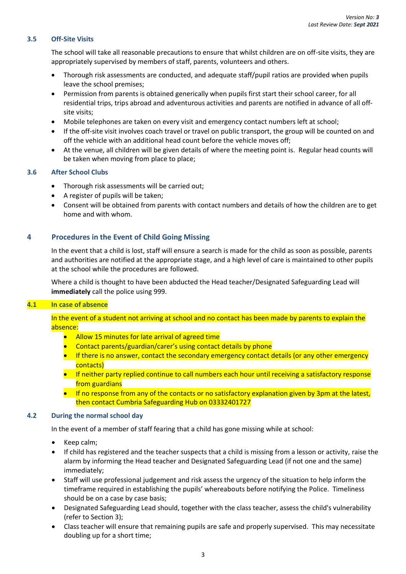#### <span id="page-6-0"></span>**3.5 Off-Site Visits**

The school will take all reasonable precautions to ensure that whilst children are on off-site visits, they are appropriately supervised by members of staff, parents, volunteers and others.

- Thorough risk assessments are conducted, and adequate staff/pupil ratios are provided when pupils leave the school premises;
- Permission from parents is obtained generically when pupils first start their school career, for all residential trips, trips abroad and adventurous activities and parents are notified in advance of all offsite visits;
- Mobile telephones are taken on every visit and emergency contact numbers left at school;
- If the off-site visit involves coach travel or travel on public transport, the group will be counted on and off the vehicle with an additional head count before the vehicle moves off;
- At the venue, all children will be given details of where the meeting point is. Regular head counts will be taken when moving from place to place;

#### <span id="page-6-1"></span>**3.6 After School Clubs**

- Thorough risk assessments will be carried out;
- A register of pupils will be taken;
- Consent will be obtained from parents with contact numbers and details of how the children are to get home and with whom.

#### <span id="page-6-2"></span>**4 Procedures in the Event of Child Going Missing**

In the event that a child is lost, staff will ensure a search is made for the child as soon as possible, parents and authorities are notified at the appropriate stage, and a high level of care is maintained to other pupils at the school while the procedures are followed.

Where a child is thought to have been abducted the Head teacher/Designated Safeguarding Lead will **immediately** call the police using 999.

#### <span id="page-6-3"></span>**4.1 In case of absence**

In the event of a student not arriving at school and no contact has been made by parents to explain the absence:

- Allow 15 minutes for late arrival of agreed time
- Contact parents/guardian/carer's using contact details by phone
- If there is no answer, contact the secondary emergency contact details (or any other emergency contacts)
- If neither party replied continue to call numbers each hour until receiving a satisfactory response from guardians
- If no response from any of the contacts or no satisfactory explanation given by 3pm at the latest, then contact Cumbria Safeguarding Hub on 03332401727

#### <span id="page-6-4"></span>**4.2 During the normal school day**

In the event of a member of staff fearing that a child has gone missing while at school:

- Keep calm;
- If child has registered and the teacher suspects that a child is missing from a lesson or activity, raise the alarm by informing the Head teacher and Designated Safeguarding Lead (if not one and the same) immediately;
- Staff will use professional judgement and risk assess the urgency of the situation to help inform the timeframe required in establishing the pupils' whereabouts before notifying the Police. Timeliness should be on a case by case basis;
- Designated Safeguarding Lead should, together with the class teacher, assess the child's vulnerability (refer to Section 3);
- Class teacher will ensure that remaining pupils are safe and properly supervised. This may necessitate doubling up for a short time;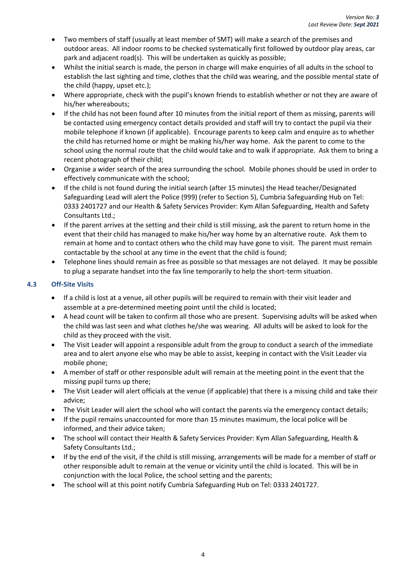- Two members of staff (usually at least member of SMT) will make a search of the premises and outdoor areas. All indoor rooms to be checked systematically first followed by outdoor play areas, car park and adjacent road(s). This will be undertaken as quickly as possible;
- Whilst the initial search is made, the person in charge will make enquiries of all adults in the school to establish the last sighting and time, clothes that the child was wearing, and the possible mental state of the child (happy, upset etc.);
- Where appropriate, check with the pupil's known friends to establish whether or not they are aware of his/her whereabouts;
- If the child has not been found after 10 minutes from the initial report of them as missing, parents will be contacted using emergency contact details provided and staff will try to contact the pupil via their mobile telephone if known (if applicable). Encourage parents to keep calm and enquire as to whether the child has returned home or might be making his/her way home. Ask the parent to come to the school using the normal route that the child would take and to walk if appropriate. Ask them to bring a recent photograph of their child;
- Organise a wider search of the area surrounding the school. Mobile phones should be used in order to effectively communicate with the school;
- If the child is not found during the initial search (after 15 minutes) the Head teacher/Designated Safeguarding Lead will alert the Police (999) (refer to Section 5), Cumbria Safeguarding Hub on Tel: 0333 2401727 and our Health & Safety Services Provider: Kym Allan Safeguarding, Health and Safety Consultants Ltd.;
- If the parent arrives at the setting and their child is still missing, ask the parent to return home in the event that their child has managed to make his/her way home by an alternative route. Ask them to remain at home and to contact others who the child may have gone to visit. The parent must remain contactable by the school at any time in the event that the child is found;
- Telephone lines should remain as free as possible so that messages are not delayed. It may be possible to plug a separate handset into the fax line temporarily to help the short-term situation.

#### <span id="page-7-0"></span>**4.3 Off-Site Visits**

- If a child is lost at a venue, all other pupils will be required to remain with their visit leader and assemble at a pre-determined meeting point until the child is located;
- A head count will be taken to confirm all those who are present. Supervising adults will be asked when the child was last seen and what clothes he/she was wearing. All adults will be asked to look for the child as they proceed with the visit.
- The Visit Leader will appoint a responsible adult from the group to conduct a search of the immediate area and to alert anyone else who may be able to assist, keeping in contact with the Visit Leader via mobile phone;
- A member of staff or other responsible adult will remain at the meeting point in the event that the missing pupil turns up there;
- The Visit Leader will alert officials at the venue (if applicable) that there is a missing child and take their advice;
- The Visit Leader will alert the school who will contact the parents via the emergency contact details;
- If the pupil remains unaccounted for more than 15 minutes maximum, the local police will be informed, and their advice taken;
- The school will contact their Health & Safety Services Provider: Kym Allan Safeguarding, Health & Safety Consultants Ltd.;
- If by the end of the visit, if the child is still missing, arrangements will be made for a member of staff or other responsible adult to remain at the venue or vicinity until the child is located. This will be in conjunction with the local Police, the school setting and the parents;
- The school will at this point notify Cumbria Safeguarding Hub on Tel: 0333 2401727.